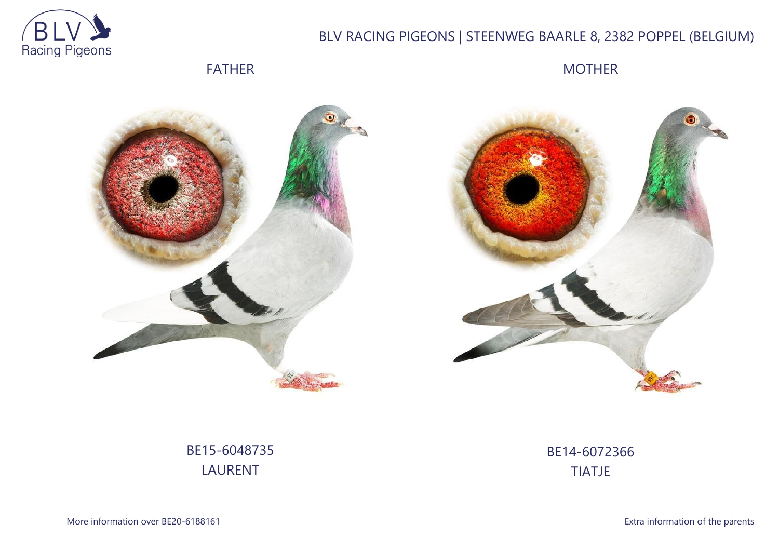

# BLV RACING PIGEONS | STEENWEG BAARLE 8, 2382 POPPEL (BELGIUM)

FATHER

MOTHER





## BE15-6048735 LAURENT

BE14-6072366 TIATJE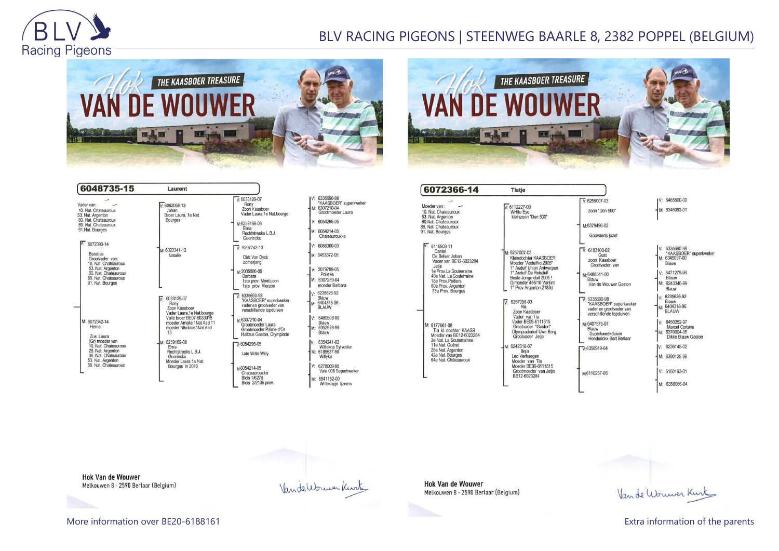

### BLV RACING PIGEONS | STEENWEG BAARLE 8, 2382 POPPEL (BELGIUM)





| 6048735-15                                                                                                                                                              | Laurent                                                                                                                                                                                                                                                           |                                                                                                                                      |                                                                                                                                     |
|-------------------------------------------------------------------------------------------------------------------------------------------------------------------------|-------------------------------------------------------------------------------------------------------------------------------------------------------------------------------------------------------------------------------------------------------------------|--------------------------------------------------------------------------------------------------------------------------------------|-------------------------------------------------------------------------------------------------------------------------------------|
| Vader van:<br>10. Nat. Chateauroux<br>53. Nat. Argenton<br>60. Nat. Chateauroux<br>89. Nat. Chateauroux<br>91.Nat. Bourges                                              | $V·6062058-13$<br>Johan<br>Broer Laura, 1e Nat.<br>Bourges                                                                                                                                                                                                        | $V: 6033129 - 07$<br>Rony<br>Zoon Kaasboer<br>Vader Laura, 1e Nat.bourge<br>M:6259169-08<br>Erna<br>Rechtstreeks L.B.J.<br>Geerinckx | IV: 6335690-98<br>*KAASBOER* superkweker<br>M: 6307210-04<br>Grootmoeder Laura<br>$V: 6054295-05$<br>M: 6054214-05<br>Chateaurouxke |
| 6072393-14<br>Barabas<br>Grootvader van:<br>10. Nat. Chateauroux<br>53. Nat. Argenton<br>60. Nat. Chateauroux<br>89. Nat. Chateauroux<br>91. Nat. Bourges               | M: 6023341-12<br>Natalie                                                                                                                                                                                                                                          | $V: 6297742 - 10$<br>Dirk Van Dyck<br>zomerjong                                                                                      | V: 6086300-03<br>M: 6453372-05                                                                                                      |
|                                                                                                                                                                         |                                                                                                                                                                                                                                                                   | M:2035886-09<br>Barbara<br>1ste prov. Montlucon<br>1ste prov. Vierzon                                                                | V: 2079799-05<br>Polleke<br>M: 6307259-04<br>moeder Barbara                                                                         |
| M: 6072342-14<br>Hema<br>Zus Laura<br>(Gr) moeder van<br>10. Nat. Chateauroux<br>28. Nat. Argenton<br>36. Nat. Chateauroux<br>53. Nat. Argenton<br>60. Nat. Chateauroux | 6033129-07<br>Rony<br>Zoon Kaasboer<br>Vader Laura,1e Nat.bourge<br>Volle broer BE07-6033018<br>moeder Amalia 1Nat Asd 11<br>moeder Nikolaas1Nat Asd<br>13<br>M: 6259169-08<br>Ema<br>Rechtstreeks L.B.J.<br>Geerinckx<br>Moeder Laura 1e Nat.<br>Bourges in 2010 | $\nabla 6335690-98$<br>"KAASBOER" superkweker<br>vader en grootvader van<br>verschillende topduiven                                  | 6235626-92<br>I۷۰<br>Blauw<br>M: 6404318-96<br><b>BLAUW</b>                                                                         |
|                                                                                                                                                                         |                                                                                                                                                                                                                                                                   | M-6307210-04<br>Grootmoeder Laura<br>Grootmoeder Palme d'Or<br>Halfzus Gaston, Olympiade                                             | V: 6480508-00<br>Blauw<br>M: 6352928-99<br>Blauw                                                                                    |
|                                                                                                                                                                         |                                                                                                                                                                                                                                                                   | $\nabla 6054295-05$<br>Late Witte Willy                                                                                              | 6354241-02<br>IV:<br>Wittekop Sylvester<br>M: 6185637-98<br>Willyke                                                                 |
|                                                                                                                                                                         |                                                                                                                                                                                                                                                                   | M6054214-05<br>Chateaurouxke<br><b>Blois 1/627d</b><br>Blois 2/2135 prov.                                                            | V: 6278009-95<br>Vale 009 Superkweker<br>6541152-00<br>M:<br>Wittekopje ijzeren                                                     |

| 6072366-14                                                                                                                                                                                       | <b>Tiatje</b>                                                                                                                                                                                          |                                                                                                                                                                                    |
|--------------------------------------------------------------------------------------------------------------------------------------------------------------------------------------------------|--------------------------------------------------------------------------------------------------------------------------------------------------------------------------------------------------------|------------------------------------------------------------------------------------------------------------------------------------------------------------------------------------|
| Moeder van:                                                                                                                                                                                      | $-6112227 - 09$                                                                                                                                                                                        | $V·6255007-03$                                                                                                                                                                     |
| 10. Nat. Chateauroux<br>53. Nat. Argenton<br>60.Nat. Chateauroux<br>89. Nat. Chateauroux                                                                                                         | <b>WHite Eye</b><br>kleinzoon "Den 500"                                                                                                                                                                | zoon "Den 500"<br>M:6379496-02                                                                                                                                                     |
| 91. Nat. Bourges                                                                                                                                                                                 |                                                                                                                                                                                                        | Goovaerts jozef                                                                                                                                                                    |
| 6115503-11<br>Daniel<br>De Belser Johan<br>Vader van BE12-6023284<br>Jetie<br>1e Prov.La Souterraine<br>40e Nat. La Souterraine<br>18e Prov. Poitiers<br>60e Prov. Argenton<br>75e Prov. Bourges | M: 6257007-03<br>Kleindochter KAASBOER<br>Moeder "Asduifke 2005"<br>1° Asduif Union Antwerpen<br>1° Asduif De Reisduif<br>Beste Jonge duif 2005 !<br>Grmoeder 456/10 Vanlint<br>1° Prov Argenton 2183d | $V: 6183100-02$<br>Gust<br>zoon Kaasboer<br>Grootvader van<br>M-6480541-00<br>Blauw<br>Van de Wouwer Gaston                                                                        |
| M: 6177661-08<br>Tia kl. dochter KAASB<br>Moeder van BE12-6023284<br>2e Nat. La Souterrainne<br>11e Nat. Guéret<br>28e Nat. Argenton<br>42e Nat. Bourges<br>64e Nat. Châteauroux                 | 6257098-03<br>Rik<br>Zoon Kaasboer<br>Vader van Tia<br>Vader BE09-6111515<br>Grootvader "Gaston"<br>Olympiadeduif Uwe Berg<br>Grootvader Jetje                                                         | $\nabla 6335690-98$<br>"KAASBOER" superkweker<br>vader en grootvader van<br>verschillende topduiven<br>M:6407575-97<br>Blauw<br>Superkweekduivin<br><b>Henderickx Bart Berlaar</b> |
|                                                                                                                                                                                                  | M: 6242318-07<br>Beja<br>Leo Verhaegen<br>Moeder van Tia<br>Moeder BE09-6111515<br>Grootmoeder van Jetje<br>BE12-6023284                                                                               | $\nabla 6358919-04$<br>M6110267-06                                                                                                                                                 |
|                                                                                                                                                                                                  |                                                                                                                                                                                                        |                                                                                                                                                                                    |

|  | $\int_{M: 6346093-01}^{V: 6485500-00}$ |
|--|----------------------------------------|

V: 6335690-98<br>\*KAASBOER\* superkweker<br>M: 6345097-00 Blauw 6471276-96 Blauw M: 6243346-99 Blauw V: 6235626-92<br>Blauw<br>M: 6404318-96<br>BLAUW V: 6450252-97<br>Marcel Cortens<br>M: 6370004-95<br>Dikke Blauw Gaston 6236145-02 M: 6390125-99 V: 6160193-01 M: 6358966-04

**Hok Van de Wouwer** Melkouwen 8 - 2590 Berlaar (Belgium)

Vande Wouwer Kurt



Vande Worwer Kurk

More information over BE20-6188161 **Extra information of the parents** Extra information of the parents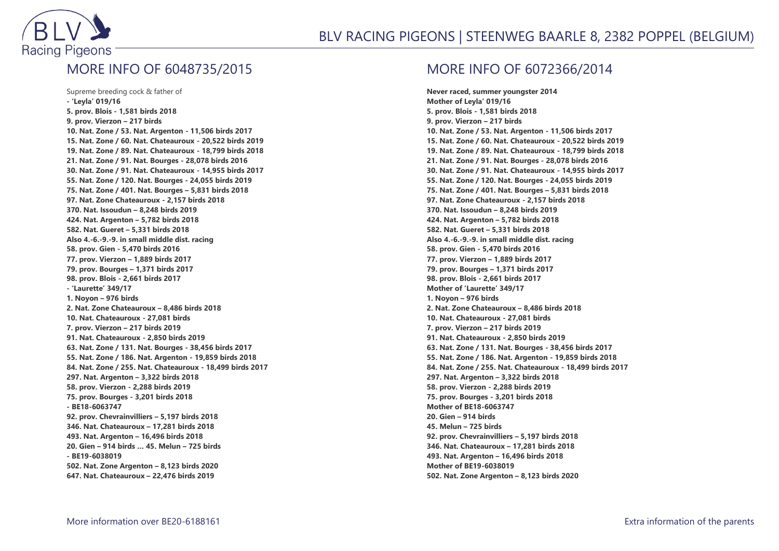

#### BLV RACING PIGEONS | STEENWEG BAARLE 8, 2382 POPPEL (BELGIUM)

### MORE INFO OF 6048735/2015

Supreme breeding cock & father of **- 'Leyla' 019/16 5. prov. Blois - 1,581 birds 2018 9. prov. Vierzon – 217 birds 10. Nat. Zone / 53. Nat. Argenton - 11,506 birds 2017 15. Nat. Zone / 60. Nat. Chateauroux - 20,522 birds 2019 19. Nat. Zone / 89. Nat. Chateauroux - 18,799 birds 2018 21. Nat. Zone / 91. Nat. Bourges - 28,078 birds 2016 30. Nat. Zone / 91. Nat. Chateauroux - 14,955 birds 2017 55. Nat. Zone / 120. Nat. Bourges - 24,055 birds 2019 75. Nat. Zone / 401. Nat. Bourges – 5,831 birds 2018 97. Nat. Zone Chateauroux - 2,157 birds 2018 370. Nat. Issoudun – 8,248 birds 2019 424. Nat. Argenton – 5,782 birds 2018 582. Nat. Gueret – 5,331 birds 2018 Also 4.-6.-9.-9. in small middle dist. racing 58. prov. Gien - 5,470 birds 2016 77. prov. Vierzon – 1,889 birds 2017 79. prov. Bourges – 1,371 birds 2017 98. prov. Blois - 2,661 birds 2017 - 'Laurette' 349/17 1. Noyon – 976 birds 2. Nat. Zone Chateauroux – 8,486 birds 2018 10. Nat. Chateauroux - 27,081 birds 7. prov. Vierzon – 217 birds 2019 91. Nat. Chateauroux - 2,850 birds 2019 63. Nat. Zone / 131. Nat. Bourges - 38,456 birds 2017 55. Nat. Zone / 186. Nat. Argenton - 19,859 birds 2018 84. Nat. Zone / 255. Nat. Chateauroux - 18,499 birds 2017 297. Nat. Argenton – 3,322 birds 2018 58. prov. Vierzon - 2,288 birds 2019 75. prov. Bourges - 3,201 birds 2018 - BE18-6063747 92. prov. Chevrainvilliers – 5,197 birds 2018 346. Nat. Chateauroux – 17,281 birds 2018 493. Nat. Argenton – 16,496 birds 2018 20. Gien – 914 birds … 45. Melun – 725 birds - BE19-6038019 502. Nat. Zone Argenton – 8,123 birds 2020 647. Nat. Chateauroux – 22,476 birds 2019**

#### MORE INFO OF 6072366/2014

**Never raced, summer youngster 2014 Mother of Leyla' 019/16 5. prov. Blois - 1,581 birds 2018 9. prov. Vierzon – 217 birds 10. Nat. Zone / 53. Nat. Argenton - 11,506 birds 2017 15. Nat. Zone / 60. Nat. Chateauroux - 20,522 birds 2019 19. Nat. Zone / 89. Nat. Chateauroux - 18,799 birds 2018 21. Nat. Zone / 91. Nat. Bourges - 28,078 birds 2016 30. Nat. Zone / 91. Nat. Chateauroux - 14,955 birds 2017 55. Nat. Zone / 120. Nat. Bourges - 24,055 birds 2019 75. Nat. Zone / 401. Nat. Bourges – 5,831 birds 2018 97. Nat. Zone Chateauroux - 2,157 birds 2018 370. Nat. Issoudun – 8,248 birds 2019 424. Nat. Argenton – 5,782 birds 2018 582. Nat. Gueret – 5,331 birds 2018 Also 4.-6.-9.-9. in small middle dist. racing 58. prov. Gien - 5,470 birds 2016 77. prov. Vierzon – 1,889 birds 2017 79. prov. Bourges – 1,371 birds 2017 98. prov. Blois - 2,661 birds 2017 Mother of 'Laurette' 349/17 1. Noyon – 976 birds 2. Nat. Zone Chateauroux – 8,486 birds 2018 10. Nat. Chateauroux - 27,081 birds 7. prov. Vierzon – 217 birds 2019 91. Nat. Chateauroux - 2,850 birds 2019 63. Nat. Zone / 131. Nat. Bourges - 38,456 birds 2017 55. Nat. Zone / 186. Nat. Argenton - 19,859 birds 2018 84. Nat. Zone / 255. Nat. Chateauroux - 18,499 birds 2017 297. Nat. Argenton – 3,322 birds 2018 58. prov. Vierzon - 2,288 birds 2019 75. prov. Bourges - 3,201 birds 2018 Mother of BE18-6063747 20. Gien – 914 birds 45. Melun – 725 birds 92. prov. Chevrainvilliers – 5,197 birds 2018 346. Nat. Chateauroux – 17,281 birds 2018 493. Nat. Argenton – 16,496 birds 2018 Mother of BE19-6038019 502. Nat. Zone Argenton – 8,123 birds 2020**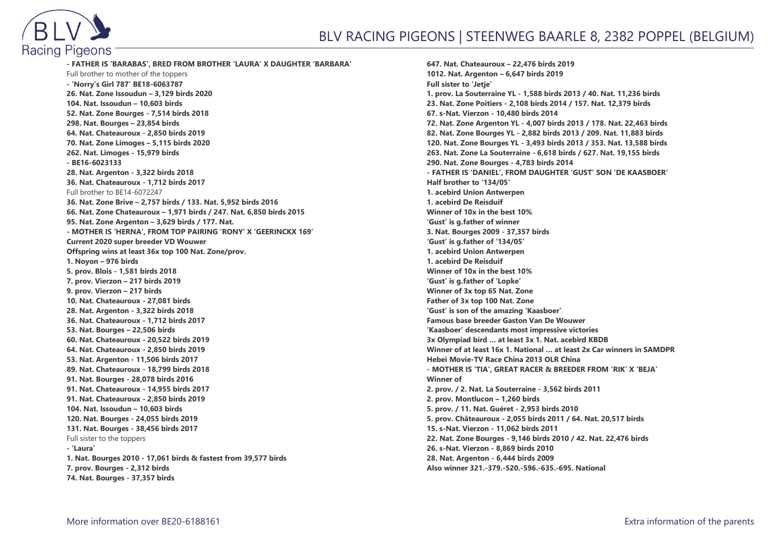

**- FATHER IS 'BARABAS', BRED FROM BROTHER 'LAURA' X DAUGHTER 'BARBARA'** Full brother to mother of the toppers **- 'Norry's Girl 787' BE18-6063787 26. Nat. Zone Issoudun – 3,129 birds 2020 104. Nat. Issoudun – 10,603 birds 52. Nat. Zone Bourges - 7,514 birds 2018 298. Nat. Bourges – 23,854 birds 64. Nat. Chateauroux - 2,850 birds 2019 70. Nat. Zone Limoges – 5,115 birds 2020 262. Nat. Limoges - 15,979 birds - BE16-6023133 28. Nat. Argenton - 3,322 birds 2018 36. Nat. Chateauroux - 1,712 birds 2017** Full brother to BE14-6072247 **36. Nat. Zone Brive – 2,757 birds / 133. Nat. 5,952 birds 2016 66. Nat. Zone Chateauroux – 1,971 birds / 247. Nat. 6,850 birds 2015 95. Nat. Zone Argenton – 3,629 birds / 177. Nat. - MOTHER IS 'HERNA', FROM TOP PAIRING 'RONY' X 'GEERINCKX 169' Current 2020 super breeder VD Wouwer Offspring wins at least 36x top 100 Nat. Zone/prov. 1. Noyon – 976 birds 5. prov. Blois - 1,581 birds 2018 7. prov. Vierzon – 217 birds 2019 9. prov. Vierzon – 217 birds 10. Nat. Chateauroux - 27,081 birds 28. Nat. Argenton - 3,322 birds 2018 36. Nat. Chateauroux - 1,712 birds 2017 53. Nat. Bourges – 22,506 birds 60. Nat. Chateauroux - 20,522 birds 2019 64. Nat. Chateauroux - 2,850 birds 2019 53. Nat. Argenton - 11,506 birds 2017 89. Nat. Chateauroux - 18,799 birds 2018 91. Nat. Bourges - 28,078 birds 2016 91. Nat. Chateauroux - 14,955 birds 2017 91. Nat. Chateauroux - 2,850 birds 2019 104. Nat. Issoudun – 10,603 birds 120. Nat. Bourges - 24,055 birds 2019 131. Nat. Bourges - 38,456 birds 2017** Full sister to the toppers **- 'Laura' 1. Nat. Bourges 2010 - 17,061 birds & fastest from 39,577 birds 7. prov. Bourges - 2,312 birds 74. Nat. Bourges - 37,357 birds**

**647. Nat. Chateauroux – 22,476 birds 2019 1012. Nat. Argenton – 6,647 birds 2019 Full sister to 'Jetje' 1. prov. La Souterraine YL - 1,588 birds 2013 / 40. Nat. 11,236 birds 23. Nat. Zone Poitiers - 2,108 birds 2014 / 157. Nat. 12,379 birds 67. s-Nat. Vierzon - 10,480 birds 2014 72. Nat. Zone Argenton YL - 4,007 birds 2013 / 178. Nat. 22,463 birds 82. Nat. Zone Bourges YL - 2,882 birds 2013 / 209. Nat. 11,883 birds 120. Nat. Zone Bourges YL - 3,493 birds 2013 / 353. Nat. 13,588 birds 263. Nat. Zone La Souterraine - 6,618 birds / 627. Nat. 19,155 birds 290. Nat. Zone Bourges - 4,783 birds 2014 - FATHER IS 'DANIEL', FROM DAUGHTER 'GUST' SON 'DE KAASBOER' Half brother to '134/05' 1. acebird Union Antwerpen 1. acebird De Reisduif Winner of 10x in the best 10% 'Gust' is g.father of winner 3. Nat. Bourges 2009 - 37,357 birds 'Gust' is g.father of '134/05' 1. acebird Union Antwerpen 1. acebird De Reisduif Winner of 10x in the best 10% 'Gust' is g.father of 'Lopke' Winner of 3x top 65 Nat. Zone Father of 3x top 100 Nat. Zone 'Gust' is son of the amazing 'Kaasboer' Famous base breeder Gaston Van De Wouwer 'Kaasboer' descendants most impressive victories 3x Olympiad bird … at least 3x 1. Nat. acebird KBDB Winner of at least 16x 1. National … at least 2x Car winners in SAMDPR Hebei Movie-TV Race China 2013 OLR China - MOTHER IS 'TIA', GREAT RACER & BREEDER FROM 'RIK' X 'BEJA' Winner of 2. prov. / 2. Nat. La Souterraine - 3,562 birds 2011 2. prov. Montlucon – 1,260 birds 5. prov. / 11. Nat. Guéret - 2,953 birds 2010 5. prov. Châteauroux - 2,055 birds 2011 / 64. Nat. 20,517 birds 15. s-Nat. Vierzon - 11,062 birds 2011 22. Nat. Zone Bourges - 9,146 birds 2010 / 42. Nat. 22,476 birds 26. s-Nat. Vierzon - 8,869 birds 2010 28. Nat. Argenton - 6,444 birds 2009 Also winner 321.-379.-520.-596.-635.-695. National**